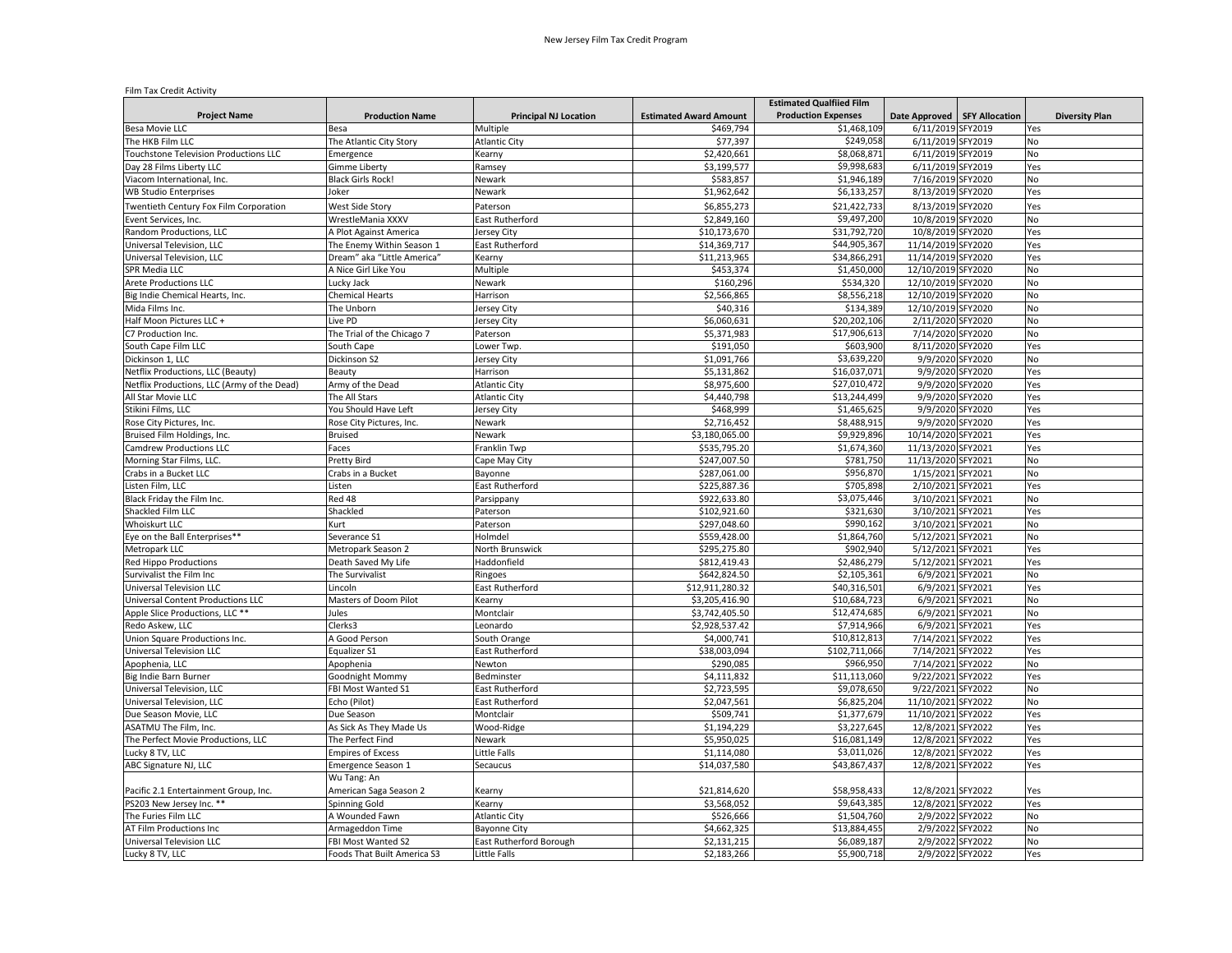## Film Tax Credit Activity

|                                             |                             |                              |                               | <b>Estimated Qualfiied Film</b> |                                |                       |
|---------------------------------------------|-----------------------------|------------------------------|-------------------------------|---------------------------------|--------------------------------|-----------------------|
| <b>Project Name</b>                         | <b>Production Name</b>      | <b>Principal NJ Location</b> | <b>Estimated Award Amount</b> | <b>Production Expenses</b>      | Date Approved   SFY Allocation | <b>Diversity Plan</b> |
| <b>Besa Movie LLC</b>                       | Besa                        | Multiple                     | \$469,794                     | \$1,468,109                     | 6/11/2019 SFY2019              | Yes                   |
| The HKB Film LLC                            | The Atlantic City Story     | <b>Atlantic City</b>         | \$77,397                      | \$249,05                        | 6/11/2019 SFY2019              | No                    |
| Touchstone Television Productions LLC       | Emergence                   | Kearny                       | \$2,420,661                   | \$8,068,871                     | 6/11/2019 SFY2019              | No                    |
| Day 28 Films Liberty LLC                    | Gimme Liberty               | Ramsey                       | \$3,199,577                   | \$9,998,683                     | 6/11/2019 SFY2019              | Yes                   |
| Viacom International, Inc.                  | <b>Black Girls Rock!</b>    | Newark                       | \$583,857                     | \$1,946,189                     | 7/16/2019 SFY2020              | No                    |
| <b>WB Studio Enterprises</b>                | Joker                       | Newark                       | \$1,962,642                   | \$6,133,257                     | 8/13/2019 SFY2020              | Yes                   |
| Twentieth Century Fox Film Corporation      | West Side Story             | Paterson                     | \$6,855,273                   | \$21,422,733                    | 8/13/2019 SFY2020              | Yes                   |
| Event Services, Inc.                        | WrestleMania XXXV           | East Rutherford              | \$2,849,160                   | \$9,497,200                     | 10/8/2019 SFY2020              | No                    |
| Random Productions, LLC                     | A Plot Against America      | Jersey City                  | \$10,173,670                  | \$31,792,720                    | 10/8/2019 SFY2020              | Yes                   |
| Universal Television, LLC                   | The Enemy Within Season 1   | East Rutherford              | \$14,369,717                  | \$44,905,367                    | 11/14/2019 SFY2020             | Yes                   |
| Universal Television, LLC                   | Dream" aka "Little America" | Kearny                       | \$11,213,965                  | \$34,866,291                    | 11/14/2019 SFY2020             | Yes                   |
| SPR Media LLC                               | A Nice Girl Like You        | Multiple                     | \$453,374                     | \$1,450,000                     | 12/10/2019 SFY2020             | No                    |
| <b>Arete Productions LLC</b>                | Lucky Jack                  | Newark                       | \$160,296                     | \$534,320                       | 12/10/2019 SFY2020             | No                    |
| Big Indie Chemical Hearts, Inc.             | <b>Chemical Hearts</b>      | Harrison                     | \$2,566,865                   | \$8,556,218                     | 12/10/2019 SFY2020             | <b>No</b>             |
| Mida Films Inc.                             | The Unborn                  | Jersey City                  | \$40,316                      | \$134,389                       | 12/10/2019 SFY2020             | No                    |
| Half Moon Pictures LLC +                    | ive PD                      | Jersey City                  | \$6,060,631                   | \$20,202,106                    | 2/11/2020 SFY2020              | No                    |
| C7 Production Inc.                          | The Trial of the Chicago 7  | Paterson                     | \$5,371,983                   | \$17,906,613                    | 7/14/2020 SFY2020              | No                    |
| South Cape Film LLC                         | South Cape                  | Lower Twp.                   | \$191,050                     | \$603,900                       | 8/11/2020 SFY2020              | Yes                   |
| Dickinson 1, LLC                            | Dickinson S2                | Jersey City                  | \$1,091,766                   | \$3,639,220                     | 9/9/2020 SFY2020               | No                    |
| Netflix Productions, LLC (Beauty)           | Beauty                      | Harrison                     | \$5,131,862                   | \$16.037.071                    | 9/9/2020 SFY2020               | Yes                   |
| Netflix Productions, LLC (Army of the Dead) | Army of the Dead            | <b>Atlantic City</b>         | \$8,975,600                   | \$27,010,472                    | 9/9/2020 SFY2020               | Yes                   |
| All Star Movie LLC                          | The All Stars               | <b>Atlantic City</b>         | \$4,440,798                   | \$13,244,499                    | 9/9/2020 SFY2020               | Yes                   |
| Stikini Films, LLC                          | You Should Have Left        | Jersey City                  | \$468,999                     | \$1,465,625                     | 9/9/2020 SFY2020               | Yes                   |
| Rose City Pictures, Inc.                    | Rose City Pictures, Inc.    | Newark                       | \$2,716,452                   | \$8,488,915                     | 9/9/2020 SFY2020               | Yes                   |
| Bruised Film Holdings, Inc.                 | Bruised                     | Newark                       | \$3,180,065.00                | \$9,929,896                     | 10/14/2020 SFY2021             | Yes                   |
| Camdrew Productions LLC                     | Faces                       | Franklin Twp                 | \$535,795.20                  | \$1,674,360                     | 11/13/2020 SFY2021             | Yes                   |
| Morning Star Films, LLC.                    | Pretty Bird                 | Cape May City                | \$247,007.50                  | \$781,750                       | 11/13/2020 SFY2021             | No                    |
| Crabs in a Bucket LLC                       | Crabs in a Bucket           | Bayonne                      | \$287,061.00                  | \$956,870                       | 1/15/2021 SFY2021              | <b>No</b>             |
| isten Film, LLC                             | Listen                      | East Rutherford              | \$225,887.36                  | \$705,898                       | 2/10/2021 SFY2021              | Yes                   |
| Black Friday the Film Inc.                  | Red 48                      | Parsippany                   | \$922,633.80                  | \$3,075,446                     | 3/10/2021 SFY2021              | No                    |
| Shackled Film LLC                           | Shackled                    | Paterson                     | \$102,921.60                  | \$321,630                       | 3/10/2021 SFY2021              | Yes                   |
| <b>Whoiskurt LLC</b>                        | Kurt                        | Paterson                     | \$297,048.60                  | \$990,162                       | 3/10/2021 SFY2021              | No                    |
| Eye on the Ball Enterprises**               | Severance S1                | Holmdel                      | \$559,428.00                  | \$1,864,760                     | 5/12/2021 SFY2021              | No                    |
| Metropark LLC                               | Metropark Season 2          | North Brunswick              | \$295,275.80                  | \$902,940                       | 5/12/2021 SFY2021              | Yes                   |
| <b>Red Hippo Productions</b>                | Death Saved My Life         | Haddonfield                  | \$812,419.43                  | \$2,486,279                     | 5/12/2021 SFY2021              | Yes                   |
| Survivalist the Film Inc                    | The Survivalist             | Ringoes                      | \$642,824.50                  | \$2,105,361                     | 6/9/2021 SFY2021               | No                    |
| Universal Television LLC                    | Lincoln                     | East Rutherford              | \$12,911,280.32               | \$40,316,501                    | 6/9/2021 SFY2021               | Yes                   |
| Universal Content Productions LLC           | Masters of Doom Pilot       | Kearny                       | \$3,205,416.90                | \$10,684,723                    | 6/9/2021 SFY2021               | No                    |
| Apple Slice Productions, LLC **             | Jules                       | Montclair                    | \$3,742,405.50                | \$12,474,685                    | 6/9/2021 SFY2021               | No                    |
| Redo Askew, LLC                             | Clerks3                     | Leonardo                     | \$2,928,537.42                | \$7,914,966                     | 6/9/2021 SFY2021               | Yes                   |
| Union Square Productions Inc.               | A Good Person               | South Orange                 | \$4,000,741                   | \$10,812,813                    | 7/14/2021 SFY2022              | Yes                   |
| <b>Universal Television LLC</b>             | Equalizer S1                | East Rutherford              | \$38,003,094                  | \$102,711,066                   | 7/14/2021 SFY2022              | Yes                   |
| Apophenia, LLC                              | Apophenia                   | Newton                       | \$290,085                     | \$966,950                       | 7/14/2021 SFY2022              | No                    |
| Big Indie Barn Burner                       | Goodnight Mommy             | Bedminster                   | \$4,111,832                   | \$11,113,060                    | 9/22/2021 SFY2022              | Yes                   |
| Universal Television, LLC                   | FBI Most Wanted S1          | East Rutherford              | \$2,723,595                   | \$9,078,650                     | 9/22/2021 SFY2022              | No                    |
| Universal Television, LLC                   | Echo (Pilot)                | East Rutherford              | \$2,047,561                   | \$6,825,204                     | 11/10/2021 SFY2022             | No                    |
| Due Season Movie, LLC                       | Due Season                  | Montclair                    | \$509,741                     | \$1,377,679                     | 11/10/2021 SFY2022             | Yes                   |
| ASATMU The Film, Inc.                       | As Sick As They Made Us     | Wood-Ridge                   | \$1,194,229                   | \$3,227,645                     | 12/8/2021 SFY2022              | Yes                   |
| The Perfect Movie Productions, LLC          | The Perfect Find            | Newark                       | \$5,950,025                   | \$16,081,149                    | 12/8/2021 SFY2022              | Yes                   |
| Lucky 8 TV, LLC                             | <b>Empires of Excess</b>    | Little Falls                 | \$1,114,080                   | \$3,011,026                     | 12/8/2021 SFY2022              | Yes                   |
| ABC Signature NJ, LLC                       | Emergence Season 1          | Secaucus                     | \$14,037,580                  | \$43,867,437                    | 12/8/2021 SFY2022              | Yes                   |
|                                             | Wu Tang: An                 |                              |                               |                                 |                                |                       |
| Pacific 2.1 Entertainment Group, Inc.       | American Saga Season 2      | Kearny                       | \$21,814,620                  | \$58,958,433                    | 12/8/2021 SFY2022              | Yes                   |
| PS203 New Jersey Inc. **                    | Spinning Gold               | Kearny                       | \$3,568,052                   | \$9,643,385                     | 12/8/2021 SFY2022              | Yes                   |
| The Furies Film LLC                         | A Wounded Fawn              | <b>Atlantic City</b>         | \$526,666                     | \$1,504,760                     | 2/9/2022 SFY2022               | <b>No</b>             |
| AT Film Productions Inc                     | Armageddon Time             | <b>Bayonne City</b>          | \$4,662,325                   | \$13,884,455                    | 2/9/2022 SFY2022               | No                    |
| Universal Television LLC                    | FBI Most Wanted S2          | East Rutherford Borough      | \$2,131,215                   | \$6,089,187                     | 2/9/2022 SFY2022               | No                    |
|                                             | Foods That Built America S3 | <b>Little Falls</b>          |                               | \$5,900,718                     |                                | Yes                   |
| Lucky 8 TV, LLC                             |                             |                              | \$2,183,266                   |                                 | 2/9/2022 SFY2022               |                       |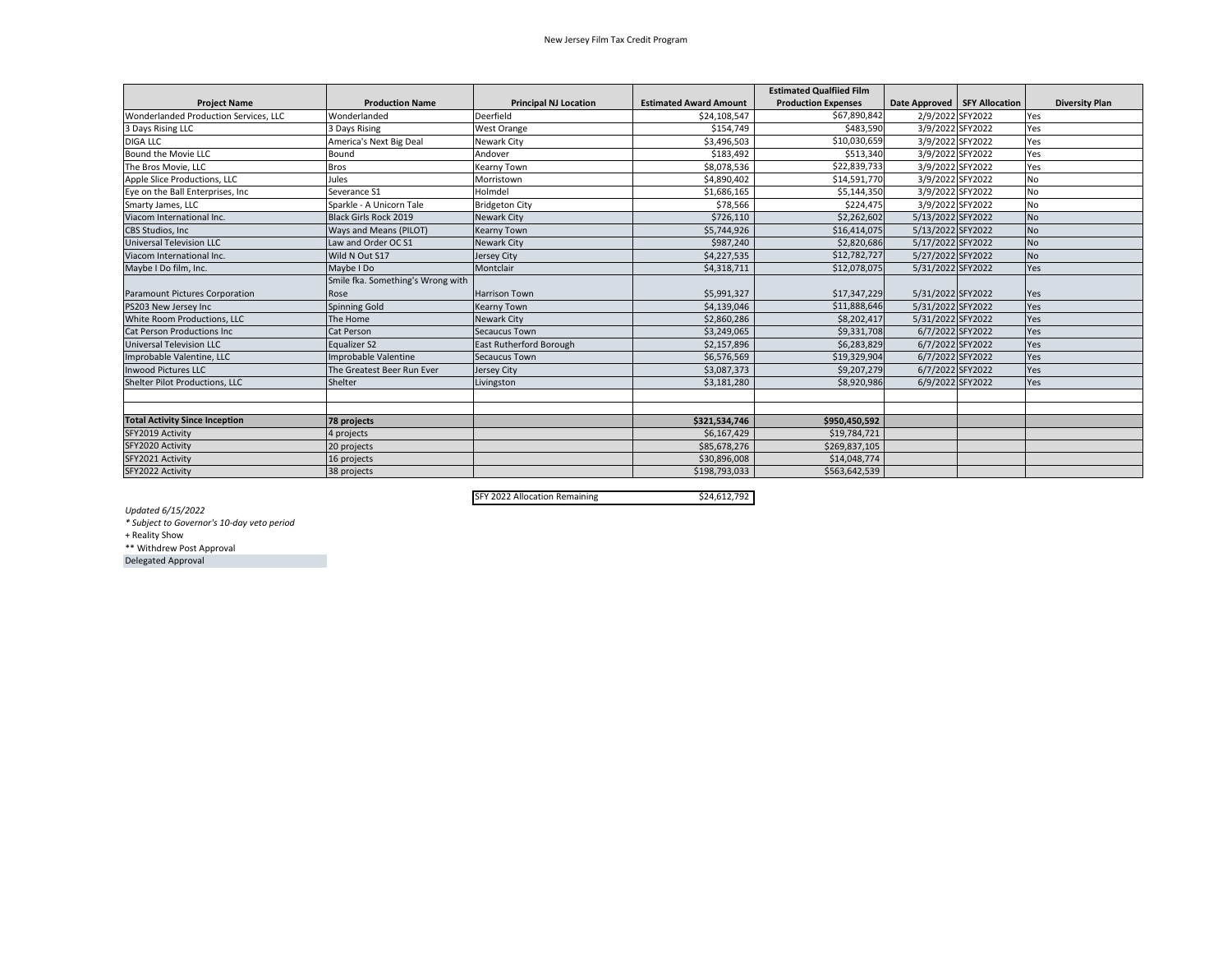## New Jersey Film Tax Credit Program

|                                       |                                   |                              |                               | <b>Estimated Qualfiied Film</b> |                                |                  |                       |
|---------------------------------------|-----------------------------------|------------------------------|-------------------------------|---------------------------------|--------------------------------|------------------|-----------------------|
| <b>Project Name</b>                   | <b>Production Name</b>            | <b>Principal NJ Location</b> | <b>Estimated Award Amount</b> | <b>Production Expenses</b>      | Date Approved   SFY Allocation |                  | <b>Diversity Plan</b> |
| Wonderlanded Production Services, LLC | Wonderlanded                      | Deerfield                    | \$24,108,547                  | \$67,890,842                    | 2/9/2022 SFY2022               |                  | Yes                   |
| 3 Days Rising LLC                     | 3 Days Rising                     | <b>West Orange</b>           | \$154,749                     | \$483,590                       |                                | 3/9/2022 SFY2022 | Yes                   |
| <b>DIGA LLC</b>                       | America's Next Big Deal           | Newark City                  | \$3,496,503                   | \$10,030,659                    |                                | 3/9/2022 SFY2022 | Yes                   |
| Bound the Movie LLC                   | Bound                             | Andover                      | \$183,492                     | \$513,340                       |                                | 3/9/2022 SFY2022 | Yes                   |
| The Bros Movie, LLC                   | <b>Bros</b>                       | Kearny Town                  | \$8,078,536                   | \$22,839,733                    |                                | 3/9/2022 SFY2022 | Yes                   |
| Apple Slice Productions, LLC          | Jules                             | Morristown                   | \$4,890,402                   | \$14,591,770                    |                                | 3/9/2022 SFY2022 | No                    |
| Eve on the Ball Enterprises, Inc      | Severance S1                      | Holmdel                      | \$1,686,165                   | \$5,144,350                     |                                | 3/9/2022 SFY2022 | No                    |
| Smarty James, LLC                     | Sparkle - A Unicorn Tale          | <b>Bridgeton City</b>        | \$78,566                      | \$224,475                       |                                | 3/9/2022 SFY2022 | No                    |
| Viacom International Inc.             | <b>Black Girls Rock 2019</b>      | Newark City                  | \$726,110                     | \$2,262,602                     | 5/13/2022 SFY2022              |                  | <b>No</b>             |
| <b>CBS Studios, Inc.</b>              | Ways and Means (PILOT)            | Kearny Town                  | \$5,744,926                   | \$16,414,075                    | 5/13/2022 SFY2022              |                  | <b>No</b>             |
| <b>Universal Television LLC</b>       | Law and Order OC S1               | <b>Newark City</b>           | \$987,240                     | \$2,820,686                     | 5/17/2022 SFY2022              |                  | <b>No</b>             |
| Viacom International Inc.             | Wild N Out S17                    | Jersey City                  | \$4,227,535                   | \$12,782,727                    | 5/27/2022 SFY2022              |                  | <b>No</b>             |
| Maybe I Do film, Inc.                 | Maybe I Do                        | Montclair                    | \$4,318,711                   | \$12,078,075                    | 5/31/2022 SFY2022              |                  | Yes                   |
|                                       | Smile fka. Something's Wrong with |                              |                               |                                 |                                |                  |                       |
| Paramount Pictures Corporation        | Rose                              | <b>Harrison Town</b>         | \$5.991.327                   | \$17,347,229                    | 5/31/2022 SFY2022              |                  | Yes                   |
| PS203 New Jersey Inc                  | <b>Spinning Gold</b>              | Kearny Town                  | \$4,139,046                   | \$11,888,646                    | 5/31/2022 SFY2022              |                  | Yes                   |
| White Room Productions, LLC           | The Home                          | Newark City                  | \$2,860,286                   | \$8,202,417                     | 5/31/2022 SFY2022              |                  | Yes                   |
| Cat Person Productions Inc            | <b>Cat Person</b>                 | Secaucus Town                | \$3,249,065                   | \$9,331,708                     | 6/7/2022 SFY2022               |                  | Yes                   |
| <b>Universal Television LLC</b>       | <b>Equalizer S2</b>               | East Rutherford Borough      | \$2,157,896                   | \$6,283,829                     | 6/7/2022 SFY2022               |                  | Yes                   |
| Improbable Valentine, LLC             | Improbable Valentine              | Secaucus Town                | \$6,576,569                   | \$19,329,904                    |                                | 6/7/2022 SFY2022 | Yes                   |
| <b>Inwood Pictures LLC</b>            | The Greatest Beer Run Ever        | Jersey City                  | \$3,087,373                   | \$9,207,279                     |                                | 6/7/2022 SFY2022 | Yes                   |
| <b>Shelter Pilot Productions, LLC</b> | Shelter                           | Livingston                   | \$3,181,280                   | \$8,920,986                     | 6/9/2022 SFY2022               |                  | Yes                   |
|                                       |                                   |                              |                               |                                 |                                |                  |                       |
|                                       |                                   |                              |                               |                                 |                                |                  |                       |
| <b>Total Activity Since Inception</b> | 78 projects                       |                              | \$321,534,746                 | \$950,450,592                   |                                |                  |                       |
| SFY2019 Activity                      | 4 projects                        |                              | \$6,167,429                   | \$19,784,721                    |                                |                  |                       |
| SFY2020 Activity                      | 20 projects                       |                              | \$85,678,276                  | \$269,837,105                   |                                |                  |                       |
| SFY2021 Activity                      | 16 projects                       |                              | \$30,896,008                  | \$14,048,774                    |                                |                  |                       |
| SFY2022 Activity                      | 38 projects                       |                              | \$198,793,033                 | \$563,642,539                   |                                |                  |                       |

SFY 2022 AllocationRemaining \$24,612,792

*Updated 6/15/2022*

*\* Subject to Governor's 10‐day veto period*

+ Reality Show

\*\* Withdrew Post Approval

Delegated Approval